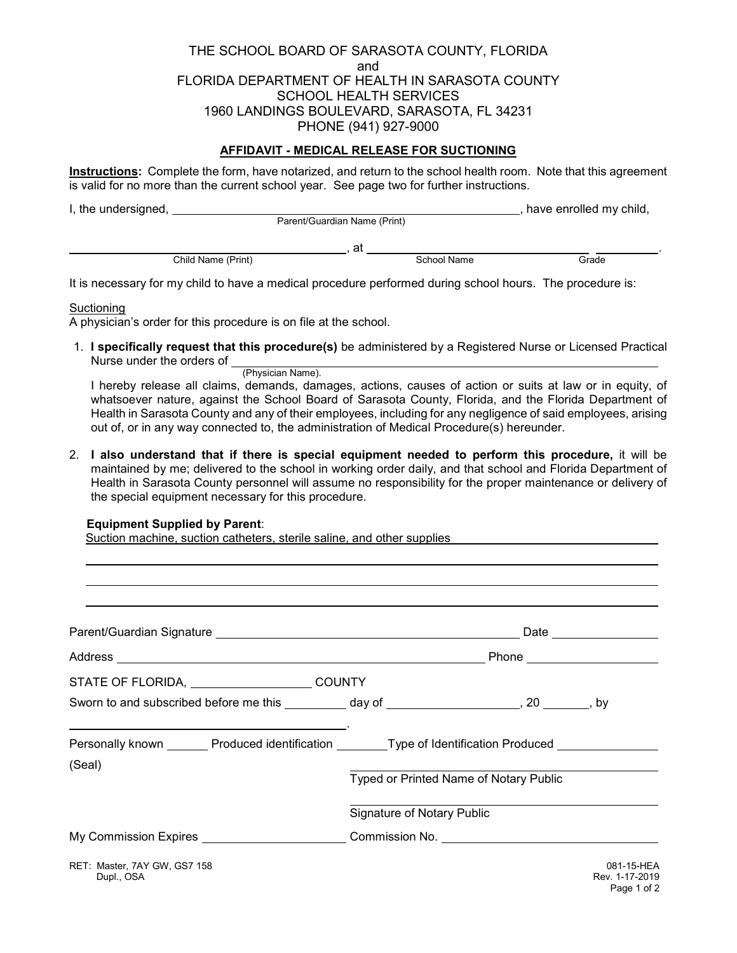# THE SCHOOL BOARD OF SARASOTA COUNTY, FLORIDA and FLORIDA DEPARTMENT OF HEALTH IN SARASOTA COUNTY SCHOOL HEALTH SERVICES 1960 LANDINGS BOULEVARD, SARASOTA, FL 34231 PHONE (941) 927-9000

### **AFFIDAVIT - MEDICAL RELEASE FOR SUCTIONING**

**Instructions:** Complete the form, have notarized, and return to the school health room. Note that this agreement is valid for no more than the current school year. See page two for further instructions.

| I, the undersigned, |                    |                              | have enrolled my child, |
|---------------------|--------------------|------------------------------|-------------------------|
|                     |                    | Parent/Guardian Name (Print) |                         |
|                     |                    | at                           |                         |
|                     | Child Name (Print) | School Name                  | Grade                   |

It is necessary for my child to have a medical procedure performed during school hours. The procedure is:

**Suctioning** 

A physician's order for this procedure is on file at the school.

- 1. **I specifically request that this procedure(s)** be administered by a Registered Nurse or Licensed Practical Nurse under the orders of  $\frac{1}{P(\text{Physical Name})}$ 
	-

I hereby release all claims, demands, damages, actions, causes of action or suits at law or in equity, of whatsoever nature, against the School Board of Sarasota County, Florida, and the Florida Department of Health in Sarasota County and any of their employees, including for any negligence of said employees, arising out of, or in any way connected to, the administration of Medical Procedure(s) hereunder.

2. **I also understand that if there is special equipment needed to perform this procedure,** it will be maintained by me; delivered to the school in working order daily, and that school and Florida Department of Health in Sarasota County personnel will assume no responsibility for the proper maintenance or delivery of the special equipment necessary for this procedure.

#### **Equipment Supplied by Parent**:

Suction machine, suction catheters, sterile saline, and other supplies

| STATE OF FLORIDA, ___________________________COUNTY                                                                                                                                                                    |                                        |                                             |
|------------------------------------------------------------------------------------------------------------------------------------------------------------------------------------------------------------------------|----------------------------------------|---------------------------------------------|
| Sworn to and subscribed before me this __________ day of _____________________, 20 _______, by                                                                                                                         |                                        |                                             |
| the contract of the contract of the contract of the contract of the contract of the contract of the contract of<br>Personally known ________ Produced identification ________Type of Identification Produced _________ |                                        |                                             |
| (Seal)                                                                                                                                                                                                                 | Typed or Printed Name of Notary Public |                                             |
|                                                                                                                                                                                                                        | Signature of Notary Public             |                                             |
| My Commission Expires _________________________Commission No. __________________                                                                                                                                       |                                        |                                             |
| RET: Master, 7AY GW, GS7 158<br>Dupl., OSA                                                                                                                                                                             |                                        | 081-15-HEA<br>Rev. 1-17-2019<br>Page 1 of 2 |